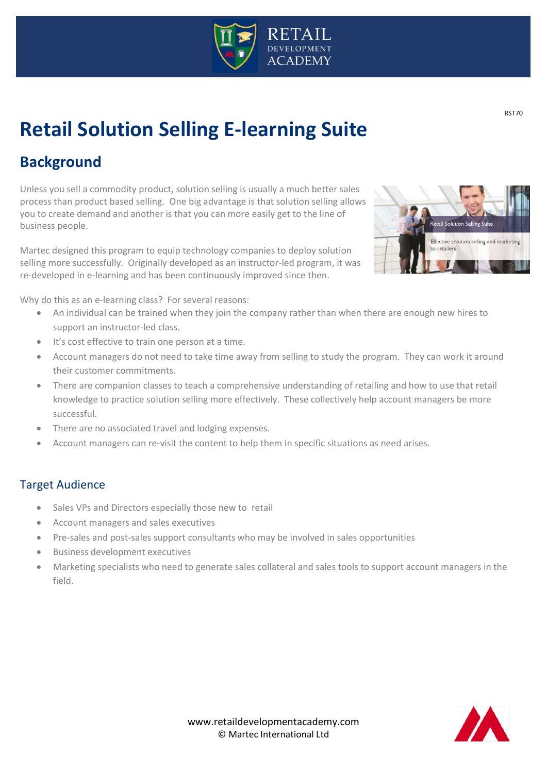

# **Retail Solution Selling E-learning Suite**

# **Background**

Unless you sell a commodity product, solution selling is usually a much better sales process than product based selling. One big advantage is that solution selling allows you to create demand and another is that you can more easily get to the line of business people.

Martec designed this program to equip technology companies to deploy solution selling more successfully. Originally developed as an instructor-led program, it was re-developed in e-learning and has been continuously improved since then.



Why do this as an e-learning class? For several reasons:

- An individual can be trained when they join the company rather than when there are enough new hires to support an instructor-led class.
- It's cost effective to train one person at a time.
- Account managers do not need to take time away from selling to study the program. They can work it around their customer commitments.
- There are companion classes to teach a comprehensive understanding of retailing and how to use that retail knowledge to practice solution selling more effectively. These collectively help account managers be more successful.
- There are no associated travel and lodging expenses.
- Account managers can re-visit the content to help them in specific situations as need arises.

## Target Audience

- Sales VPs and Directors especially those new to retail
- Account managers and sales executives
- Pre-sales and post-sales support consultants who may be involved in sales opportunities
- Business development executives
- Marketing specialists who need to generate sales collateral and sales tools to support account managers in the field.



 $\overline{\phantom{a}}$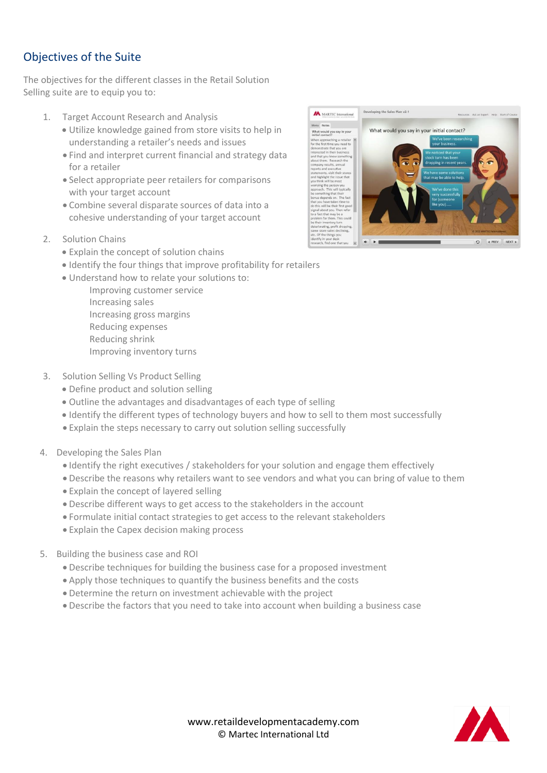# Objectives of the Suite

The objectives for the different classes in the Retail Solution Selling suite are to equip you to:

- 1. Target Account Research and Analysis
	- Utilize knowledge gained from store visits to help in understanding a retailer's needs and issues
	- Find and interpret current financial and strategy data for a retailer
	- Select appropriate peer retailers for comparisons with your target account
	- Combine several disparate sources of data into a cohesive understanding of your target account
- 2. Solution Chains
	- Explain the concept of solution chains
	- Identify the four things that improve profitability for retailers
	- Understand how to relate your solutions to:
		- Improving customer service Increasing sales Increasing gross margins Reducing expenses Reducing shrink Improving inventory turns
- 3. Solution Selling Vs Product Selling
	- Define product and solution selling
	- Outline the advantages and disadvantages of each type of selling
	- Identify the different types of technology buyers and how to sell to them most successfully
	- Explain the steps necessary to carry out solution selling successfully
- 4. Developing the Sales Plan
	- Identify the right executives / stakeholders for your solution and engage them effectively
	- Describe the reasons why retailers want to see vendors and what you can bring of value to them
	- Explain the concept of layered selling
	- Describe different ways to get access to the stakeholders in the account
	- Formulate initial contact strategies to get access to the relevant stakeholders
	- Explain the Capex decision making process
- 5. Building the business case and ROI
	- Describe techniques for building the business case for a proposed investment
	- Apply those techniques to quantify the business benefits and the costs
	- Determine the return on investment achievable with the project
	- Describe the factors that you need to take into account when building a business case



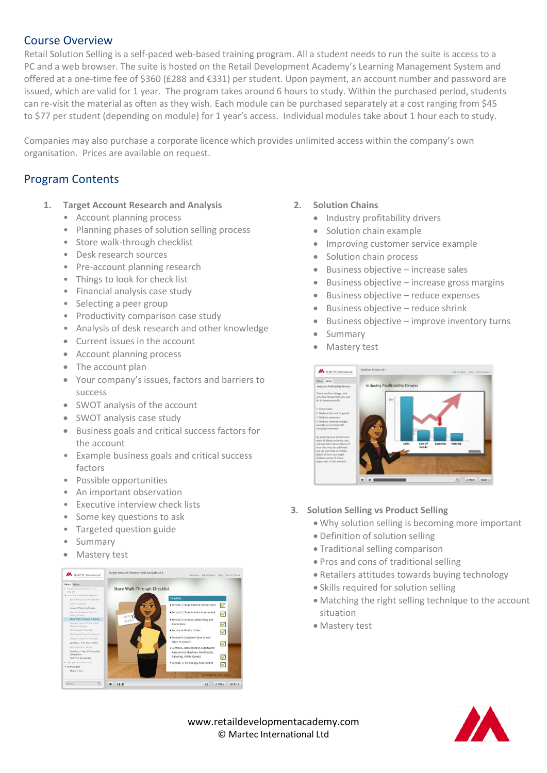### Course Overview

Retail Solution Selling is a self-paced web-based training program. All a student needs to run the suite is access to a PC and a web browser. The suite is hosted on the Retail Development Academy's Learning Management System and offered at a one-time fee of \$360 (£288 and €331) per student. Upon payment, an account number and password are issued, which are valid for 1 year. The program takes around 6 hours to study. Within the purchased period, students can re-visit the material as often as they wish. Each module can be purchased separately at a cost ranging from \$45 to \$77 per student (depending on module) for 1 year's access. Individual modules take about 1 hour each to study.

Companies may also purchase a corporate licence which provides unlimited access within the company's own organisation. Prices are available on request.

# Program Contents

- **1. Target Account Research and Analysis**
	- Account planning process
	- Planning phases of solution selling process
	- Store walk-through checklist
	- Desk research sources
	- Pre-account planning research
	- Things to look for check list
	- Financial analysis case study
	- Selecting a peer group
	- Productivity comparison case study
	- Analysis of desk research and other knowledge
	- Current issues in the account
	- Account planning process
	- The account plan
	- Your company's issues, factors and barriers to success
	- SWOT analysis of the account
	- SWOT analysis case study
	- Business goals and critical success factors for the account
	- Example business goals and critical success factors
	- Possible opportunities
	- An important observation
	- Executive interview check lists
	- Some key questions to ask
	- Targeted question guide
	- Summary
	- Mastery test



- **2. Solution Chains**
	- Industry profitability drivers
	- Solution chain example
	- Improving customer service example
	- Solution chain process
	- $\bullet$  Business objective increase sales
	- $\bullet$  Business objective increase gross margins
	- Business objective reduce expenses
	- $\bullet$  Business objective reduce shrink
	- Business objective improve inventory turns
	- Summary
	- Mastery test



#### **3. Solution Selling vs Product Selling**

- Why solution selling is becoming more important
- Definition of solution selling
- Traditional selling comparison
- Pros and cons of traditional selling
- Retailers attitudes towards buying technology
- Skills required for solution selling
- Matching the right selling technique to the account situation
- Mastery test